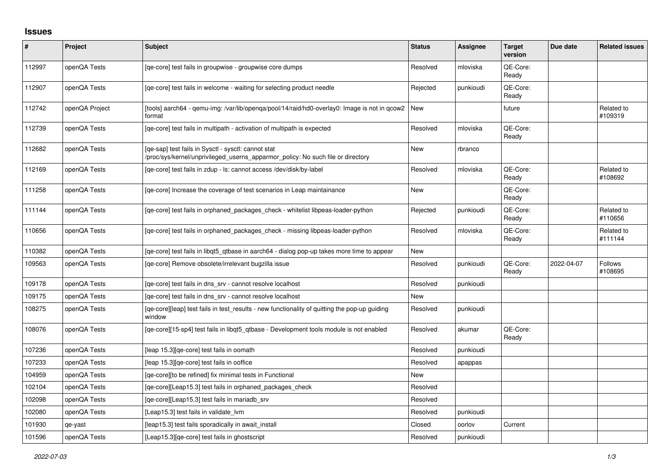## **Issues**

| #      | Project        | Subject                                                                                                                                | <b>Status</b> | <b>Assignee</b> | <b>Target</b><br>version | Due date   | <b>Related issues</b>     |
|--------|----------------|----------------------------------------------------------------------------------------------------------------------------------------|---------------|-----------------|--------------------------|------------|---------------------------|
| 112997 | openQA Tests   | [qe-core] test fails in groupwise - groupwise core dumps                                                                               | Resolved      | mloviska        | OE-Core:<br>Ready        |            |                           |
| 112907 | openQA Tests   | [ge-core] test fails in welcome - waiting for selecting product needle                                                                 | Rejected      | punkioudi       | QE-Core:<br>Ready        |            |                           |
| 112742 | openQA Project | [tools] aarch64 - qemu-img: /var/lib/openqa/pool/14/raid/hd0-overlay0: Image is not in qcow2<br>format                                 | New           |                 | future                   |            | Related to<br>#109319     |
| 112739 | openQA Tests   | [ge-core] test fails in multipath - activation of multipath is expected                                                                | Resolved      | mloviska        | QE-Core:<br>Ready        |            |                           |
| 112682 | openQA Tests   | [qe-sap] test fails in Sysctl - sysctl: cannot stat<br>/proc/sys/kernel/unprivileged_userns_apparmor_policy: No such file or directory | <b>New</b>    | rbranco         |                          |            |                           |
| 112169 | openQA Tests   | [ge-core] test fails in zdup - ls: cannot access /dev/disk/by-label                                                                    | Resolved      | mloviska        | QE-Core:<br>Ready        |            | Related to<br>#108692     |
| 111258 | openQA Tests   | [ge-core] Increase the coverage of test scenarios in Leap maintainance                                                                 | New           |                 | QE-Core:<br>Ready        |            |                           |
| 111144 | openQA Tests   | [qe-core] test fails in orphaned_packages_check - whitelist libpeas-loader-python                                                      | Rejected      | punkioudi       | QE-Core:<br>Ready        |            | Related to<br>#110656     |
| 110656 | openQA Tests   | [ge-core] test fails in orphaned packages check - missing libpeas-loader-python                                                        | Resolved      | mloviska        | QE-Core:<br>Ready        |            | Related to<br>#111144     |
| 110382 | openQA Tests   | [qe-core] test fails in libqt5_qtbase in aarch64 - dialog pop-up takes more time to appear                                             | <b>New</b>    |                 |                          |            |                           |
| 109563 | openQA Tests   | [ge-core] Remove obsolete/irrelevant bugzilla issue                                                                                    | Resolved      | punkioudi       | QE-Core:<br>Ready        | 2022-04-07 | <b>Follows</b><br>#108695 |
| 109178 | openQA Tests   | [qe-core] test fails in dns_srv - cannot resolve localhost                                                                             | Resolved      | punkioudi       |                          |            |                           |
| 109175 | openQA Tests   | [ge-core] test fails in dns srv - cannot resolve localhost                                                                             | New           |                 |                          |            |                           |
| 108275 | openQA Tests   | [qe-core][leap] test fails in test_results - new functionality of quitting the pop-up guiding<br>window                                | Resolved      | punkioudi       |                          |            |                           |
| 108076 | openQA Tests   | [ge-core][15-sp4] test fails in libgt5 gtbase - Development tools module is not enabled                                                | Resolved      | akumar          | QE-Core:<br>Ready        |            |                           |
| 107236 | openQA Tests   | [leap 15.3][qe-core] test fails in oomath                                                                                              | Resolved      | punkioudi       |                          |            |                           |
| 107233 | openQA Tests   | [leap 15.3][qe-core] test fails in ooffice                                                                                             | Resolved      | apappas         |                          |            |                           |
| 104959 | openQA Tests   | [qe-core][to be refined] fix minimal tests in Functional                                                                               | <b>New</b>    |                 |                          |            |                           |
| 102104 | openQA Tests   | [ge-core][Leap15.3] test fails in orphaned packages check                                                                              | Resolved      |                 |                          |            |                           |
| 102098 | openQA Tests   | [qe-core][Leap15.3] test fails in mariadb_srv                                                                                          | Resolved      |                 |                          |            |                           |
| 102080 | openQA Tests   | [Leap15.3] test fails in validate lvm                                                                                                  | Resolved      | punkioudi       |                          |            |                           |
| 101930 | qe-yast        | [leap15.3] test fails sporadically in await_install                                                                                    | Closed        | oorlov          | Current                  |            |                           |
| 101596 | openQA Tests   | [Leap15.3][qe-core] test fails in ghostscript                                                                                          | Resolved      | punkioudi       |                          |            |                           |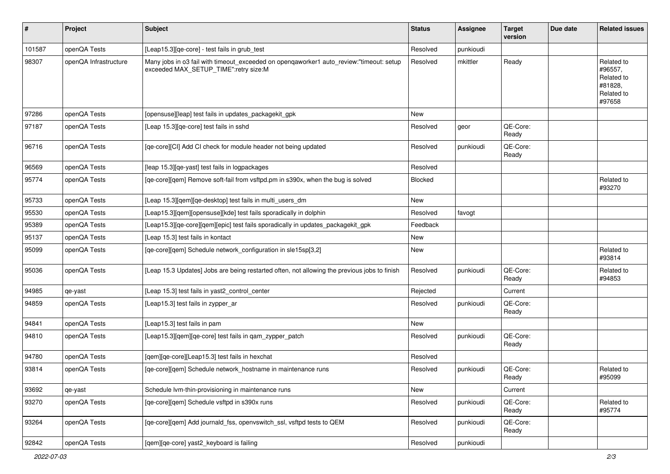| #      | Project               | Subject                                                                                                                          | <b>Status</b> | <b>Assignee</b> | <b>Target</b><br>version | Due date | <b>Related issues</b>                                                  |
|--------|-----------------------|----------------------------------------------------------------------------------------------------------------------------------|---------------|-----------------|--------------------------|----------|------------------------------------------------------------------------|
| 101587 | openQA Tests          | [Leap15.3][qe-core] - test fails in grub_test                                                                                    | Resolved      | punkioudi       |                          |          |                                                                        |
| 98307  | openQA Infrastructure | Many jobs in o3 fail with timeout_exceeded on openqaworker1 auto_review:"timeout: setup<br>exceeded MAX_SETUP_TIME":retry size:M | Resolved      | mkittler        | Ready                    |          | Related to<br>#96557,<br>Related to<br>#81828,<br>Related to<br>#97658 |
| 97286  | openQA Tests          | [opensuse][leap] test fails in updates_packagekit_gpk                                                                            | New           |                 |                          |          |                                                                        |
| 97187  | openQA Tests          | [Leap 15.3][qe-core] test fails in sshd                                                                                          | Resolved      | geor            | QE-Core:<br>Ready        |          |                                                                        |
| 96716  | openQA Tests          | [qe-core][CI] Add CI check for module header not being updated                                                                   | Resolved      | punkioudi       | QE-Core:<br>Ready        |          |                                                                        |
| 96569  | openQA Tests          | [leap 15.3][qe-yast] test fails in logpackages                                                                                   | Resolved      |                 |                          |          |                                                                        |
| 95774  | openQA Tests          | [qe-core][qem] Remove soft-fail from vsftpd.pm in s390x, when the bug is solved                                                  | Blocked       |                 |                          |          | Related to<br>#93270                                                   |
| 95733  | openQA Tests          | [Leap 15.3][qem][qe-desktop] test fails in multi_users_dm                                                                        | <b>New</b>    |                 |                          |          |                                                                        |
| 95530  | openQA Tests          | [Leap15.3][qem][opensuse][kde] test fails sporadically in dolphin                                                                | Resolved      | favogt          |                          |          |                                                                        |
| 95389  | openQA Tests          | [Leap15.3][qe-core][qem][epic] test fails sporadically in updates_packagekit_gpk                                                 | Feedback      |                 |                          |          |                                                                        |
| 95137  | openQA Tests          | [Leap 15.3] test fails in kontact                                                                                                | New           |                 |                          |          |                                                                        |
| 95099  | openQA Tests          | [qe-core][qem] Schedule network_configuration in sle15sp[3,2]                                                                    | New           |                 |                          |          | Related to<br>#93814                                                   |
| 95036  | openQA Tests          | [Leap 15.3 Updates] Jobs are being restarted often, not allowing the previous jobs to finish                                     | Resolved      | punkioudi       | QE-Core:<br>Ready        |          | Related to<br>#94853                                                   |
| 94985  | qe-yast               | [Leap 15.3] test fails in yast2_control_center                                                                                   | Rejected      |                 | Current                  |          |                                                                        |
| 94859  | openQA Tests          | [Leap15.3] test fails in zypper_ar                                                                                               | Resolved      | punkioudi       | QE-Core:<br>Ready        |          |                                                                        |
| 94841  | openQA Tests          | [Leap15.3] test fails in pam                                                                                                     | New           |                 |                          |          |                                                                        |
| 94810  | openQA Tests          | [Leap15.3][qem][qe-core] test fails in qam_zypper_patch                                                                          | Resolved      | punkioudi       | QE-Core:<br>Ready        |          |                                                                        |
| 94780  | openQA Tests          | [qem][qe-core][Leap15.3] test fails in hexchat                                                                                   | Resolved      |                 |                          |          |                                                                        |
| 93814  | openQA Tests          | [qe-core][qem] Schedule network_hostname in maintenance runs                                                                     | Resolved      | punkioudi       | QE-Core:<br>Ready        |          | Related to<br>#95099                                                   |
| 93692  | qe-yast               | Schedule Ivm-thin-provisioning in maintenance runs                                                                               | New           |                 | Current                  |          |                                                                        |
| 93270  | openQA Tests          | [ge-core][gem] Schedule vsftpd in s390x runs                                                                                     | Resolved      | punkioudi       | QE-Core:<br>Ready        |          | Related to<br>#95774                                                   |
| 93264  | openQA Tests          | [qe-core][qem] Add journald_fss, openvswitch_ssl, vsftpd tests to QEM                                                            | Resolved      | punkioudi       | QE-Core:<br>Ready        |          |                                                                        |
| 92842  | openQA Tests          | [qem][qe-core] yast2_keyboard is failing                                                                                         | Resolved      | punkioudi       |                          |          |                                                                        |